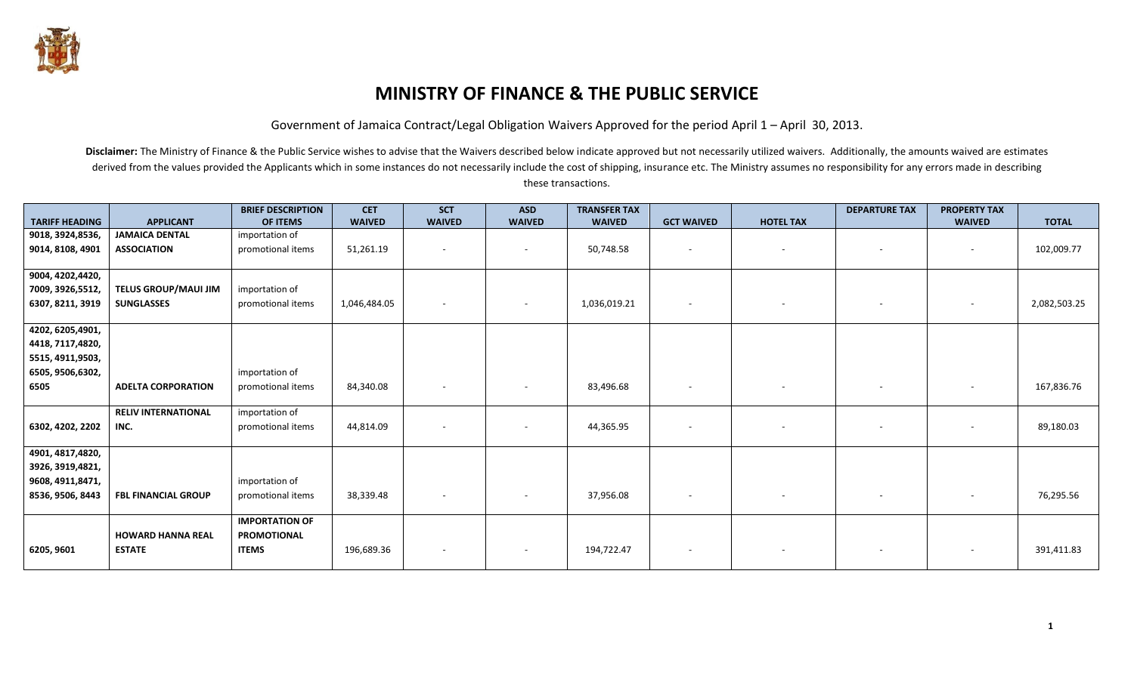

## **MINISTRY OF FINANCE & THE PUBLIC SERVICE**

Government of Jamaica Contract/Legal Obligation Waivers Approved for the period April 1 – April 30, 2013.

|                       |                            | <b>BRIEF DESCRIPTION</b> | <b>CET</b>    | <b>SCT</b>    | <b>ASD</b>               | <b>TRANSFER TAX</b> |                   |                  | <b>DEPARTURE TAX</b> | <b>PROPERTY TAX</b>      |              |
|-----------------------|----------------------------|--------------------------|---------------|---------------|--------------------------|---------------------|-------------------|------------------|----------------------|--------------------------|--------------|
| <b>TARIFF HEADING</b> | <b>APPLICANT</b>           | <b>OF ITEMS</b>          | <b>WAIVED</b> | <b>WAIVED</b> | <b>WAIVED</b>            | <b>WAIVED</b>       | <b>GCT WAIVED</b> | <b>HOTEL TAX</b> |                      | <b>WAIVED</b>            | <b>TOTAL</b> |
| 9018, 3924, 8536,     | <b>JAMAICA DENTAL</b>      | importation of           |               |               |                          |                     |                   |                  |                      |                          |              |
| 9014, 8108, 4901      | <b>ASSOCIATION</b>         | promotional items        | 51,261.19     | $\sim$        | $\sim$                   | 50,748.58           |                   | $\sim$           | $\sim$               | $\sim$                   | 102,009.77   |
|                       |                            |                          |               |               |                          |                     |                   |                  |                      |                          |              |
| 9004, 4202,4420,      |                            |                          |               |               |                          |                     |                   |                  |                      |                          |              |
| 7009, 3926, 5512,     | TELUS GROUP/MAUI JIM       | importation of           |               |               |                          |                     |                   |                  |                      |                          |              |
| 6307, 8211, 3919      | <b>SUNGLASSES</b>          | promotional items        | 1,046,484.05  |               |                          | 1,036,019.21        |                   | $\sim$           |                      |                          | 2,082,503.25 |
|                       |                            |                          |               |               |                          |                     |                   |                  |                      |                          |              |
| 4202, 6205, 4901,     |                            |                          |               |               |                          |                     |                   |                  |                      |                          |              |
| 4418, 7117,4820,      |                            |                          |               |               |                          |                     |                   |                  |                      |                          |              |
| 5515, 4911, 9503,     |                            |                          |               |               |                          |                     |                   |                  |                      |                          |              |
| 6505, 9506, 6302,     |                            | importation of           |               |               |                          |                     |                   |                  |                      |                          |              |
| 6505                  | <b>ADELTA CORPORATION</b>  | promotional items        | 84,340.08     |               | $\overline{\phantom{a}}$ | 83,496.68           |                   | $\sim$           |                      | $\overline{\phantom{a}}$ | 167,836.76   |
|                       |                            |                          |               |               |                          |                     |                   |                  |                      |                          |              |
|                       | <b>RELIV INTERNATIONAL</b> | importation of           |               |               |                          |                     |                   |                  |                      |                          |              |
| 6302, 4202, 2202      | INC.                       | promotional items        | 44,814.09     |               |                          | 44,365.95           |                   |                  |                      |                          | 89,180.03    |
|                       |                            |                          |               |               |                          |                     |                   |                  |                      |                          |              |
| 4901, 4817, 4820,     |                            |                          |               |               |                          |                     |                   |                  |                      |                          |              |
| 3926, 3919, 4821,     |                            |                          |               |               |                          |                     |                   |                  |                      |                          |              |
| 9608, 4911, 8471,     |                            | importation of           |               |               |                          |                     |                   |                  |                      |                          |              |
| 8536, 9506, 8443      | <b>FBL FINANCIAL GROUP</b> | promotional items        | 38,339.48     | $\sim$        | $\sim$                   | 37,956.08           | $\sim$            | $\sim$           | $\sim$               |                          | 76,295.56    |
|                       |                            |                          |               |               |                          |                     |                   |                  |                      |                          |              |
|                       |                            | <b>IMPORTATION OF</b>    |               |               |                          |                     |                   |                  |                      |                          |              |
|                       | <b>HOWARD HANNA REAL</b>   | <b>PROMOTIONAL</b>       |               |               |                          |                     |                   |                  |                      |                          |              |
| 6205, 9601            | <b>ESTATE</b>              | <b>ITEMS</b>             | 196,689.36    |               |                          | 194,722.47          |                   |                  |                      |                          | 391,411.83   |
|                       |                            |                          |               |               |                          |                     |                   |                  |                      |                          |              |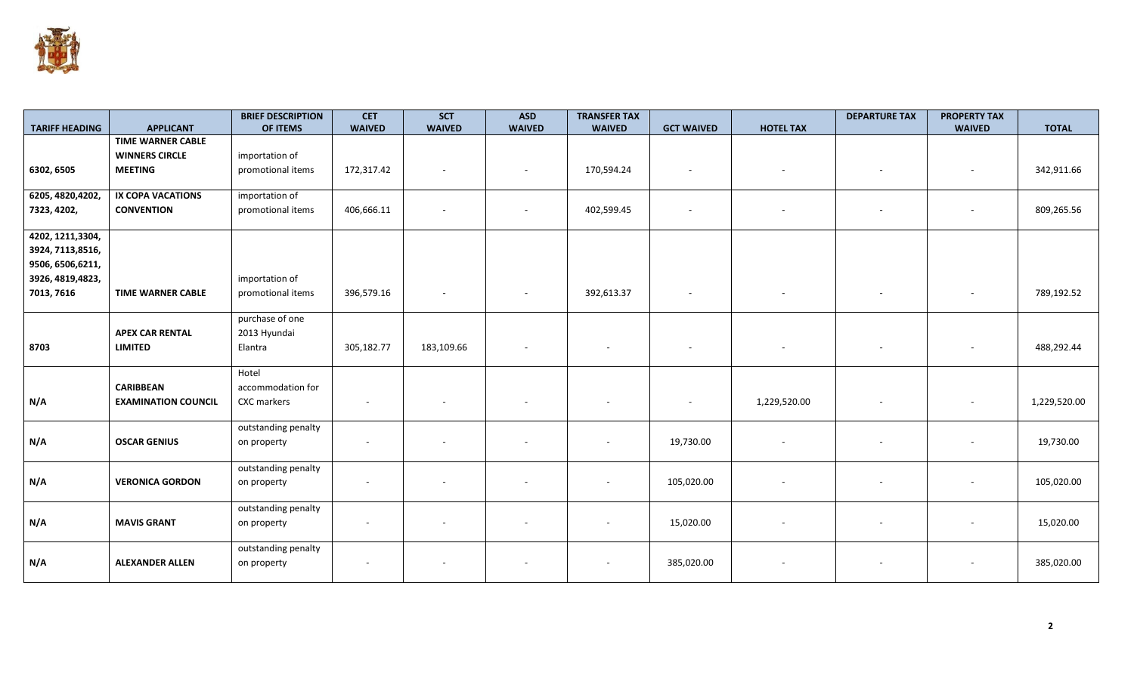

| <b>TARIFF HEADING</b> | <b>APPLICANT</b>           | <b>BRIEF DESCRIPTION</b><br>OF ITEMS | <b>CET</b><br><b>WAIVED</b> | <b>SCT</b><br><b>WAIVED</b> | <b>ASD</b><br><b>WAIVED</b> | <b>TRANSFER TAX</b><br><b>WAIVED</b> | <b>GCT WAIVED</b>        | <b>HOTEL TAX</b> | <b>DEPARTURE TAX</b>     | <b>PROPERTY TAX</b><br><b>WAIVED</b> | <b>TOTAL</b> |
|-----------------------|----------------------------|--------------------------------------|-----------------------------|-----------------------------|-----------------------------|--------------------------------------|--------------------------|------------------|--------------------------|--------------------------------------|--------------|
|                       | <b>TIME WARNER CABLE</b>   |                                      |                             |                             |                             |                                      |                          |                  |                          |                                      |              |
|                       | <b>WINNERS CIRCLE</b>      | importation of                       |                             |                             |                             |                                      |                          |                  |                          |                                      |              |
| 6302, 6505            | <b>MEETING</b>             | promotional items                    | 172,317.42                  |                             |                             | 170,594.24                           | $\overline{\phantom{a}}$ |                  |                          | $\overline{\phantom{a}}$             | 342,911.66   |
|                       |                            |                                      |                             |                             |                             |                                      |                          |                  |                          |                                      |              |
| 6205, 4820, 4202,     | IX COPA VACATIONS          | importation of                       |                             |                             |                             |                                      |                          |                  |                          |                                      |              |
| 7323, 4202,           | <b>CONVENTION</b>          | promotional items                    | 406,666.11                  |                             | $\sim$                      | 402,599.45                           | $\overline{\phantom{a}}$ |                  | $\sim$                   | $\sim$                               | 809,265.56   |
|                       |                            |                                      |                             |                             |                             |                                      |                          |                  |                          |                                      |              |
| 4202, 1211, 3304,     |                            |                                      |                             |                             |                             |                                      |                          |                  |                          |                                      |              |
| 3924, 7113,8516,      |                            |                                      |                             |                             |                             |                                      |                          |                  |                          |                                      |              |
| 9506, 6506, 6211,     |                            |                                      |                             |                             |                             |                                      |                          |                  |                          |                                      |              |
| 3926, 4819, 4823,     |                            | importation of                       |                             |                             |                             |                                      |                          |                  |                          |                                      |              |
| 7013, 7616            | <b>TIME WARNER CABLE</b>   | promotional items                    | 396,579.16                  |                             |                             | 392,613.37                           | $\overline{\phantom{a}}$ |                  |                          | $\overline{\phantom{m}}$             | 789,192.52   |
|                       |                            |                                      |                             |                             |                             |                                      |                          |                  |                          |                                      |              |
|                       |                            | purchase of one                      |                             |                             |                             |                                      |                          |                  |                          |                                      |              |
|                       | <b>APEX CAR RENTAL</b>     | 2013 Hyundai                         |                             |                             |                             |                                      |                          |                  |                          |                                      |              |
| 8703                  | <b>LIMITED</b>             | Elantra                              | 305,182.77                  | 183,109.66                  | $\overline{\phantom{a}}$    | $\overline{\phantom{a}}$             | $\overline{\phantom{a}}$ |                  | $\sim$                   | $\overline{\phantom{a}}$             | 488,292.44   |
|                       |                            |                                      |                             |                             |                             |                                      |                          |                  |                          |                                      |              |
|                       |                            | Hotel                                |                             |                             |                             |                                      |                          |                  |                          |                                      |              |
|                       | <b>CARIBBEAN</b>           | accommodation for                    |                             |                             |                             |                                      |                          |                  |                          |                                      |              |
| N/A                   | <b>EXAMINATION COUNCIL</b> | CXC markers                          |                             |                             |                             |                                      |                          | 1,229,520.00     |                          |                                      | 1,229,520.00 |
|                       |                            |                                      |                             |                             |                             |                                      |                          |                  |                          |                                      |              |
|                       |                            | outstanding penalty                  |                             |                             |                             |                                      |                          |                  |                          |                                      |              |
| N/A                   | <b>OSCAR GENIUS</b>        | on property                          | $\sim$                      |                             |                             | $\overline{\phantom{a}}$             | 19,730.00                |                  | $\overline{\phantom{a}}$ | $\qquad \qquad \blacksquare$         | 19,730.00    |
|                       |                            |                                      |                             |                             |                             |                                      |                          |                  |                          |                                      |              |
|                       |                            | outstanding penalty                  |                             |                             |                             |                                      |                          |                  |                          |                                      |              |
| N/A                   | <b>VERONICA GORDON</b>     | on property                          |                             |                             |                             |                                      | 105,020.00               |                  |                          |                                      | 105,020.00   |
|                       |                            |                                      |                             |                             |                             |                                      |                          |                  |                          |                                      |              |
|                       |                            | outstanding penalty                  |                             |                             |                             |                                      |                          |                  |                          |                                      |              |
| N/A                   | <b>MAVIS GRANT</b>         | on property                          |                             |                             |                             | $\overline{\phantom{a}}$             | 15,020.00                |                  |                          | $\overline{\phantom{m}}$             | 15,020.00    |
|                       |                            |                                      |                             |                             |                             |                                      |                          |                  |                          |                                      |              |
|                       |                            | outstanding penalty                  |                             |                             |                             |                                      |                          |                  |                          |                                      |              |
| N/A                   | <b>ALEXANDER ALLEN</b>     | on property                          | $\overline{\phantom{0}}$    |                             |                             | $\overline{\phantom{a}}$             | 385,020.00               |                  | $\overline{\phantom{a}}$ | $\overline{\phantom{m}}$             | 385,020.00   |
|                       |                            |                                      |                             |                             |                             |                                      |                          |                  |                          |                                      |              |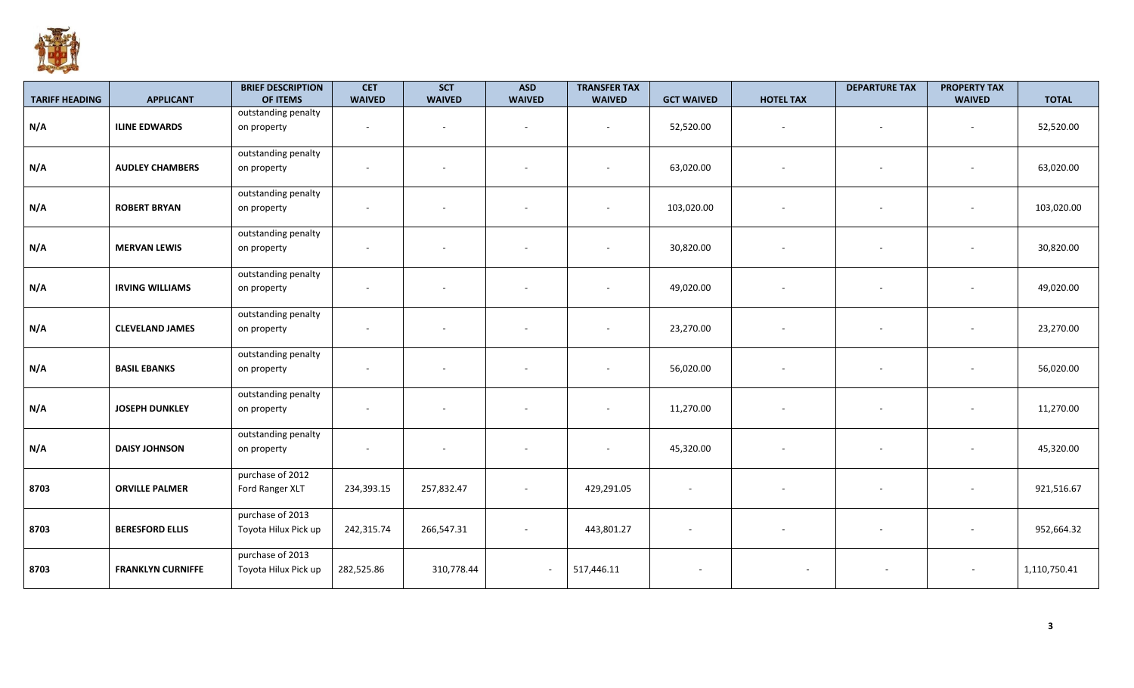

| <b>TARIFF HEADING</b> | <b>APPLICANT</b>         | <b>BRIEF DESCRIPTION</b><br>OF ITEMS     | <b>CET</b><br><b>WAIVED</b> | <b>SCT</b><br><b>WAIVED</b> | <b>ASD</b><br><b>WAIVED</b> | <b>TRANSFER TAX</b><br><b>WAIVED</b> | <b>GCT WAIVED</b>        | <b>HOTEL TAX</b>         | <b>DEPARTURE TAX</b>     | <b>PROPERTY TAX</b><br><b>WAIVED</b> | <b>TOTAL</b> |
|-----------------------|--------------------------|------------------------------------------|-----------------------------|-----------------------------|-----------------------------|--------------------------------------|--------------------------|--------------------------|--------------------------|--------------------------------------|--------------|
|                       |                          | outstanding penalty                      |                             |                             |                             |                                      |                          |                          |                          |                                      |              |
| N/A                   | <b>ILINE EDWARDS</b>     | on property                              | $\overline{\phantom{a}}$    | $\overline{\phantom{a}}$    |                             | $\sim$                               | 52,520.00                | $\overline{\phantom{a}}$ | $\overline{\phantom{a}}$ | $\sim$                               | 52,520.00    |
| N/A                   | <b>AUDLEY CHAMBERS</b>   | outstanding penalty<br>on property       | $\overline{\phantom{a}}$    | $\overline{\phantom{a}}$    |                             | $\overline{\phantom{a}}$             | 63,020.00                | $\overline{\phantom{a}}$ | $\sim$                   |                                      | 63,020.00    |
| N/A                   | <b>ROBERT BRYAN</b>      | outstanding penalty<br>on property       | $\overline{\phantom{a}}$    |                             |                             | $\overline{\phantom{a}}$             | 103,020.00               | $\overline{\phantom{a}}$ | $\overline{\phantom{a}}$ |                                      | 103,020.00   |
| N/A                   | <b>MERVAN LEWIS</b>      | outstanding penalty<br>on property       | $\overline{\phantom{a}}$    |                             |                             | $\sim$                               | 30,820.00                |                          | $\sim$                   |                                      | 30,820.00    |
| N/A                   | <b>IRVING WILLIAMS</b>   | outstanding penalty<br>on property       |                             | $\overline{\phantom{a}}$    |                             | $\overline{\phantom{a}}$             | 49,020.00                | $\overline{\phantom{a}}$ | $\sim$                   |                                      | 49,020.00    |
| N/A                   | <b>CLEVELAND JAMES</b>   | outstanding penalty<br>on property       |                             |                             |                             | $\sim$                               | 23,270.00                |                          | $\sim$                   |                                      | 23,270.00    |
| N/A                   | <b>BASIL EBANKS</b>      | outstanding penalty<br>on property       | $\overline{\phantom{a}}$    | $\overline{\phantom{m}}$    |                             | $\sim$                               | 56,020.00                | $\overline{\phantom{a}}$ | $\overline{\phantom{a}}$ |                                      | 56,020.00    |
| N/A                   | <b>JOSEPH DUNKLEY</b>    | outstanding penalty<br>on property       | $\overline{\phantom{a}}$    | $\overline{\phantom{a}}$    |                             | $\overline{\phantom{a}}$             | 11,270.00                | $\overline{\phantom{a}}$ | $\sim$                   | $\sim$                               | 11,270.00    |
| N/A                   | <b>DAISY JOHNSON</b>     | outstanding penalty<br>on property       | $\sim$                      | $\overline{\phantom{a}}$    |                             | $\sim$                               | 45,320.00                | $\overline{\phantom{a}}$ | $\sim$                   | $\sim$                               | 45,320.00    |
| 8703                  | <b>ORVILLE PALMER</b>    | purchase of 2012<br>Ford Ranger XLT      | 234,393.15                  | 257,832.47                  | $\sim$                      | 429,291.05                           | $\overline{\phantom{a}}$ |                          | $\overline{\phantom{a}}$ |                                      | 921,516.67   |
| 8703                  | <b>BERESFORD ELLIS</b>   | purchase of 2013<br>Toyota Hilux Pick up | 242,315.74                  | 266,547.31                  | $\overline{\phantom{a}}$    | 443,801.27                           | $\overline{\phantom{a}}$ |                          | $\overline{\phantom{a}}$ |                                      | 952,664.32   |
| 8703                  | <b>FRANKLYN CURNIFFE</b> | purchase of 2013<br>Toyota Hilux Pick up | 282,525.86                  | 310,778.44                  | $\sim$                      | 517,446.11                           | $\overline{\phantom{a}}$ | $\overline{\phantom{a}}$ |                          |                                      | 1,110,750.41 |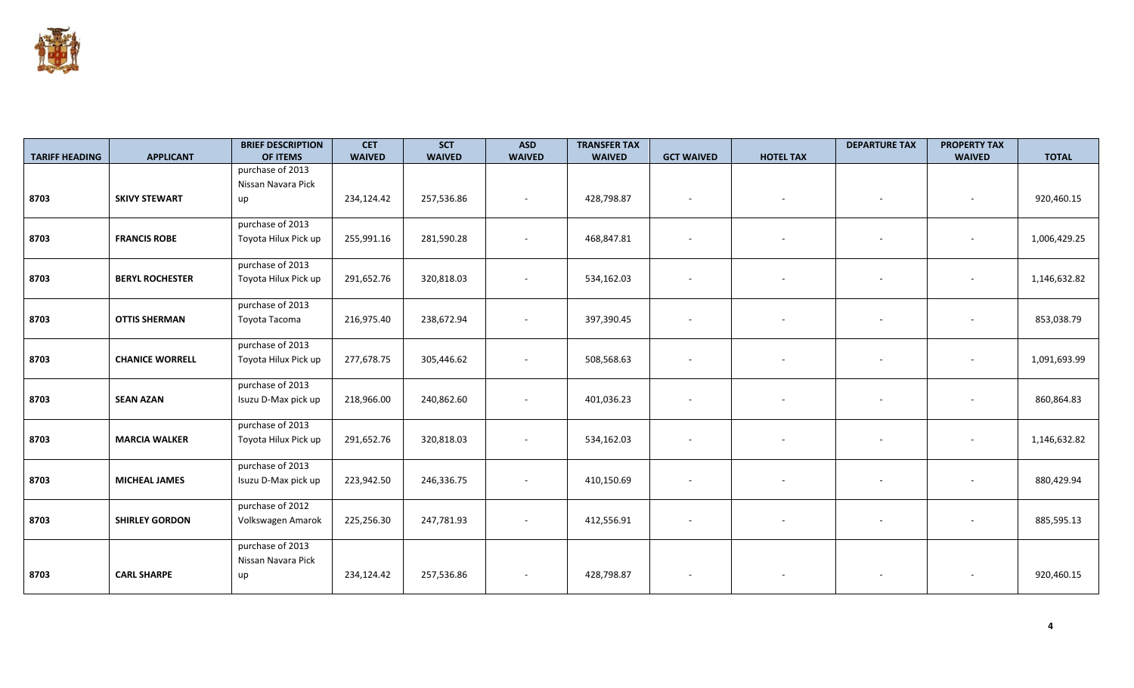

| <b>TARIFF HEADING</b> | <b>APPLICANT</b>       | <b>BRIEF DESCRIPTION</b><br>OF ITEMS | <b>CET</b><br><b>WAIVED</b> | <b>SCT</b><br><b>WAIVED</b> | <b>ASD</b><br><b>WAIVED</b> | <b>TRANSFER TAX</b><br><b>WAIVED</b> | <b>GCT WAIVED</b>        | <b>HOTEL TAX</b> | <b>DEPARTURE TAX</b>     | <b>PROPERTY TAX</b><br><b>WAIVED</b> | <b>TOTAL</b> |
|-----------------------|------------------------|--------------------------------------|-----------------------------|-----------------------------|-----------------------------|--------------------------------------|--------------------------|------------------|--------------------------|--------------------------------------|--------------|
|                       |                        | purchase of 2013                     |                             |                             |                             |                                      |                          |                  |                          |                                      |              |
|                       |                        | Nissan Navara Pick                   |                             |                             |                             |                                      |                          |                  |                          |                                      |              |
| 8703                  | <b>SKIVY STEWART</b>   | up                                   | 234,124.42                  | 257,536.86                  | $\sim$                      | 428,798.87                           | $\overline{\phantom{a}}$ |                  | $\sim$                   | $\overline{\phantom{a}}$             | 920,460.15   |
|                       |                        |                                      |                             |                             |                             |                                      |                          |                  |                          |                                      |              |
|                       |                        | purchase of 2013                     |                             |                             |                             |                                      |                          |                  |                          |                                      |              |
| 8703                  | <b>FRANCIS ROBE</b>    | Toyota Hilux Pick up                 | 255,991.16                  | 281,590.28                  | $\sim$                      | 468,847.81                           | $\overline{\phantom{a}}$ |                  | $\overline{\phantom{a}}$ |                                      | 1,006,429.25 |
|                       |                        | purchase of 2013                     |                             |                             |                             |                                      |                          |                  |                          |                                      |              |
| 8703                  | <b>BERYL ROCHESTER</b> | Toyota Hilux Pick up                 | 291,652.76                  | 320,818.03                  | $\overline{\phantom{a}}$    | 534,162.03                           | $\overline{\phantom{a}}$ |                  |                          |                                      | 1,146,632.82 |
|                       |                        |                                      |                             |                             |                             |                                      |                          |                  |                          |                                      |              |
|                       |                        | purchase of 2013                     |                             |                             |                             |                                      |                          |                  |                          |                                      |              |
| 8703                  | <b>OTTIS SHERMAN</b>   | Toyota Tacoma                        | 216,975.40                  | 238,672.94                  | $\sim$                      | 397,390.45                           | $\overline{\phantom{a}}$ |                  | $\sim$                   | $\overline{\phantom{a}}$             | 853,038.79   |
|                       |                        | purchase of 2013                     |                             |                             |                             |                                      |                          |                  |                          |                                      |              |
| 8703                  | <b>CHANICE WORRELL</b> | Toyota Hilux Pick up                 | 277,678.75                  | 305,446.62                  | $\sim$                      | 508,568.63                           | $\overline{\phantom{a}}$ |                  | $\overline{\phantom{a}}$ |                                      | 1,091,693.99 |
|                       |                        |                                      |                             |                             |                             |                                      |                          |                  |                          |                                      |              |
|                       |                        | purchase of 2013                     |                             |                             |                             |                                      |                          |                  |                          |                                      |              |
| 8703                  | <b>SEAN AZAN</b>       | Isuzu D-Max pick up                  | 218,966.00                  | 240,862.60                  | $\overline{\phantom{a}}$    | 401,036.23                           | $\overline{\phantom{a}}$ |                  |                          |                                      | 860,864.83   |
|                       |                        | purchase of 2013                     |                             |                             |                             |                                      |                          |                  |                          |                                      |              |
| 8703                  | <b>MARCIA WALKER</b>   | Toyota Hilux Pick up                 | 291,652.76                  | 320,818.03                  | $\sim$                      | 534,162.03                           | $\overline{\phantom{a}}$ |                  | $\overline{\phantom{a}}$ |                                      | 1,146,632.82 |
|                       |                        |                                      |                             |                             |                             |                                      |                          |                  |                          |                                      |              |
|                       |                        | purchase of 2013                     |                             |                             |                             |                                      |                          |                  |                          |                                      |              |
| 8703                  | <b>MICHEAL JAMES</b>   | Isuzu D-Max pick up                  | 223,942.50                  | 246,336.75                  | $\sim$                      | 410,150.69                           | $\sim$                   |                  | $\overline{\phantom{a}}$ |                                      | 880,429.94   |
|                       |                        |                                      |                             |                             |                             |                                      |                          |                  |                          |                                      |              |
|                       |                        | purchase of 2012                     |                             |                             |                             |                                      |                          |                  |                          |                                      |              |
| 8703                  | <b>SHIRLEY GORDON</b>  | Volkswagen Amarok                    | 225,256.30                  | 247,781.93                  | $\sim$                      | 412,556.91                           | $\overline{\phantom{a}}$ |                  |                          |                                      | 885,595.13   |
|                       |                        | purchase of 2013                     |                             |                             |                             |                                      |                          |                  |                          |                                      |              |
|                       |                        | Nissan Navara Pick                   |                             |                             |                             |                                      |                          |                  |                          |                                      |              |
| 8703                  | <b>CARL SHARPE</b>     | up                                   | 234,124.42                  | 257,536.86                  | $\sim$                      | 428,798.87                           | $\overline{\phantom{a}}$ |                  |                          |                                      | 920,460.15   |
|                       |                        |                                      |                             |                             |                             |                                      |                          |                  |                          |                                      |              |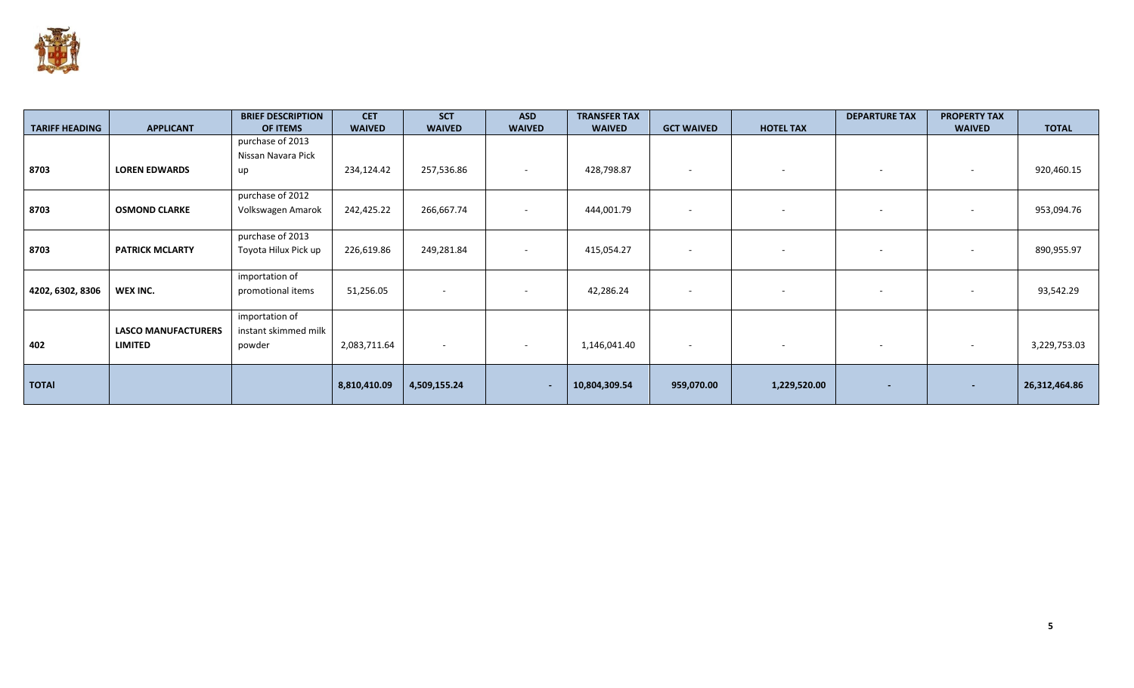

| <b>TARIFF HEADING</b> | <b>APPLICANT</b>           | <b>BRIEF DESCRIPTION</b><br>OF ITEMS | <b>CET</b><br><b>WAIVED</b> | <b>SCT</b><br><b>WAIVED</b> | <b>ASD</b><br><b>WAIVED</b> | <b>TRANSFER TAX</b><br><b>WAIVED</b> | <b>GCT WAIVED</b>        | <b>HOTEL TAX</b>         | <b>DEPARTURE TAX</b>     | <b>PROPERTY TAX</b><br><b>WAIVED</b> | <b>TOTAL</b>  |
|-----------------------|----------------------------|--------------------------------------|-----------------------------|-----------------------------|-----------------------------|--------------------------------------|--------------------------|--------------------------|--------------------------|--------------------------------------|---------------|
|                       |                            | purchase of 2013                     |                             |                             |                             |                                      |                          |                          |                          |                                      |               |
|                       |                            | Nissan Navara Pick                   |                             |                             |                             |                                      |                          |                          |                          |                                      |               |
| 8703                  | <b>LOREN EDWARDS</b>       | up                                   | 234,124.42                  | 257,536.86                  | $\overline{\phantom{a}}$    | 428,798.87                           | $\sim$                   | $\overline{\phantom{a}}$ | -                        | $\overline{\phantom{a}}$             | 920,460.15    |
|                       |                            | purchase of 2012                     |                             |                             |                             |                                      |                          |                          |                          |                                      |               |
| 8703                  | <b>OSMOND CLARKE</b>       | Volkswagen Amarok                    | 242,425.22                  | 266,667.74                  |                             | 444,001.79                           | $\sim$                   |                          |                          |                                      | 953,094.76    |
|                       |                            | purchase of 2013                     |                             |                             |                             |                                      |                          |                          |                          |                                      |               |
| 8703                  | <b>PATRICK MCLARTY</b>     | Toyota Hilux Pick up                 | 226,619.86                  | 249,281.84                  | $\overline{\phantom{a}}$    | 415,054.27                           | $\sim$                   |                          |                          |                                      | 890,955.97    |
|                       |                            | importation of                       |                             |                             |                             |                                      |                          |                          |                          |                                      |               |
| 4202, 6302, 8306      | WEX INC.                   | promotional items                    | 51,256.05                   |                             |                             | 42,286.24                            | $\overline{\phantom{a}}$ |                          |                          |                                      | 93,542.29     |
|                       |                            | importation of                       |                             |                             |                             |                                      |                          |                          |                          |                                      |               |
|                       | <b>LASCO MANUFACTURERS</b> | instant skimmed milk                 |                             |                             |                             |                                      |                          |                          |                          |                                      |               |
| 402                   | <b>LIMITED</b>             | powder                               | 2,083,711.64                | $\sim$                      | $\overline{\phantom{a}}$    | 1,146,041.40                         | $\sim$                   | $\sim$                   | $\overline{\phantom{a}}$ | $\overline{\phantom{a}}$             | 3,229,753.03  |
| <b>TOTAI</b>          |                            |                                      | 8,810,410.09                | 4,509,155.24                | ٠                           | 10,804,309.54                        | 959,070.00               | 1,229,520.00             |                          |                                      | 26,312,464.86 |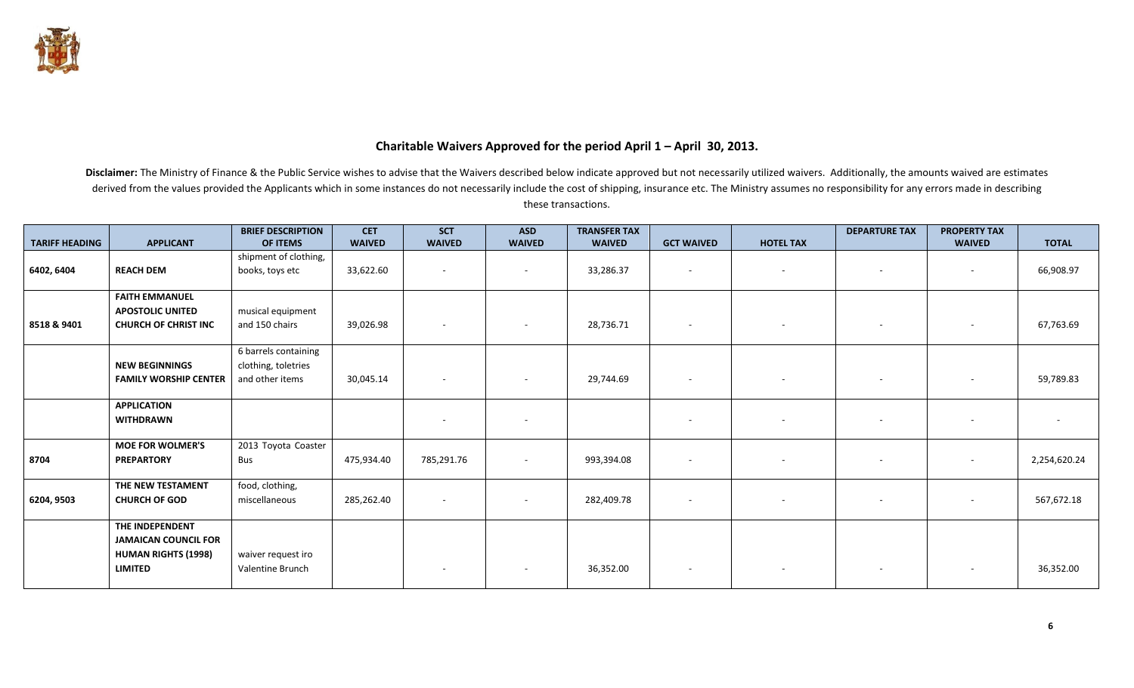

## **Charitable Waivers Approved for the period April 1 – April 30, 2013.**

|                       |                              | <b>BRIEF DESCRIPTION</b> | <b>CET</b>    | <b>SCT</b>               | <b>ASD</b>               | <b>TRANSFER TAX</b> |                          |                          | <b>DEPARTURE TAX</b>     | <b>PROPERTY TAX</b>      |                          |
|-----------------------|------------------------------|--------------------------|---------------|--------------------------|--------------------------|---------------------|--------------------------|--------------------------|--------------------------|--------------------------|--------------------------|
| <b>TARIFF HEADING</b> | <b>APPLICANT</b>             | <b>OF ITEMS</b>          | <b>WAIVED</b> | <b>WAIVED</b>            | <b>WAIVED</b>            | <b>WAIVED</b>       | <b>GCT WAIVED</b>        | <b>HOTEL TAX</b>         |                          | <b>WAIVED</b>            | <b>TOTAL</b>             |
|                       |                              | shipment of clothing,    |               |                          |                          |                     |                          |                          |                          |                          |                          |
| 6402, 6404            | <b>REACH DEM</b>             | books, toys etc          | 33,622.60     | $\sim$                   |                          | 33,286.37           | $\sim$                   | $\sim$                   | $\sim$                   | $\sim$                   | 66,908.97                |
|                       | <b>FAITH EMMANUEL</b>        |                          |               |                          |                          |                     |                          |                          |                          |                          |                          |
|                       | <b>APOSTOLIC UNITED</b>      | musical equipment        |               |                          |                          |                     |                          |                          |                          |                          |                          |
| 8518 & 9401           | <b>CHURCH OF CHRIST INC</b>  | and 150 chairs           | 39,026.98     | $\sim$                   |                          | 28,736.71           | $\overline{\phantom{a}}$ | $\overline{\phantom{a}}$ | $\overline{\phantom{a}}$ | ٠                        | 67,763.69                |
|                       |                              | 6 barrels containing     |               |                          |                          |                     |                          |                          |                          |                          |                          |
|                       | <b>NEW BEGINNINGS</b>        | clothing, toletries      |               |                          |                          |                     |                          |                          |                          |                          |                          |
|                       | <b>FAMILY WORSHIP CENTER</b> | and other items          | 30,045.14     | $\sim$                   | $\overline{\phantom{a}}$ | 29,744.69           | $\overline{\phantom{a}}$ | $\sim$                   | $\sim$                   |                          | 59,789.83                |
|                       | <b>APPLICATION</b>           |                          |               |                          |                          |                     |                          |                          |                          |                          |                          |
|                       | <b>WITHDRAWN</b>             |                          |               | $\overline{\phantom{a}}$ |                          |                     | $\overline{\phantom{a}}$ | $\sim$                   | $\sim$                   |                          | $\overline{\phantom{a}}$ |
|                       |                              |                          |               |                          |                          |                     |                          |                          |                          |                          |                          |
|                       | <b>MOE FOR WOLMER'S</b>      | 2013 Toyota Coaster      |               |                          |                          |                     |                          |                          |                          |                          |                          |
| 8704                  | <b>PREPARTORY</b>            | Bus                      | 475,934.40    | 785,291.76               | $\overline{\phantom{a}}$ | 993,394.08          | $\sim$                   | $\sim$                   | $\sim$                   | $\overline{\phantom{a}}$ | 2,254,620.24             |
|                       | THE NEW TESTAMENT            | food, clothing,          |               |                          |                          |                     |                          |                          |                          |                          |                          |
| 6204, 9503            | <b>CHURCH OF GOD</b>         | miscellaneous            | 285,262.40    |                          |                          | 282,409.78          | $\overline{\phantom{a}}$ |                          |                          |                          | 567,672.18               |
|                       | THE INDEPENDENT              |                          |               |                          |                          |                     |                          |                          |                          |                          |                          |
|                       | <b>JAMAICAN COUNCIL FOR</b>  |                          |               |                          |                          |                     |                          |                          |                          |                          |                          |
|                       | <b>HUMAN RIGHTS (1998)</b>   | waiver request iro       |               |                          |                          |                     |                          |                          |                          |                          |                          |
|                       | <b>LIMITED</b>               | Valentine Brunch         |               |                          |                          | 36,352.00           | $\overline{\phantom{a}}$ |                          | $\overline{\phantom{a}}$ |                          | 36,352.00                |
|                       |                              |                          |               |                          |                          |                     |                          |                          |                          |                          |                          |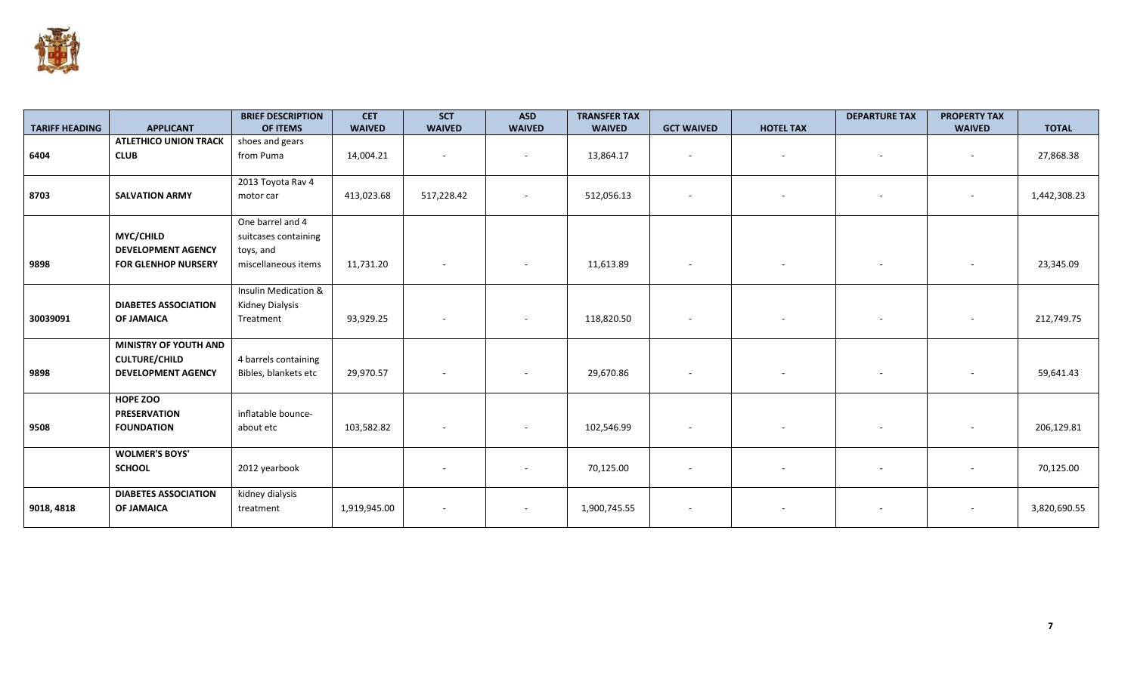

|                       |                              | <b>BRIEF DESCRIPTION</b> | <b>CET</b>    | <b>SCT</b>    | <b>ASD</b>    | <b>TRANSFER TAX</b> |                          |                  | <b>DEPARTURE TAX</b> | <b>PROPERTY TAX</b>      |              |
|-----------------------|------------------------------|--------------------------|---------------|---------------|---------------|---------------------|--------------------------|------------------|----------------------|--------------------------|--------------|
| <b>TARIFF HEADING</b> | <b>APPLICANT</b>             | OF ITEMS                 | <b>WAIVED</b> | <b>WAIVED</b> | <b>WAIVED</b> | <b>WAIVED</b>       | <b>GCT WAIVED</b>        | <b>HOTEL TAX</b> |                      | <b>WAIVED</b>            | <b>TOTAL</b> |
|                       | <b>ATLETHICO UNION TRACK</b> | shoes and gears          |               |               |               |                     |                          |                  |                      |                          |              |
| 6404                  | <b>CLUB</b>                  | from Puma                | 14,004.21     |               |               | 13,864.17           |                          |                  |                      | $\sim$                   | 27,868.38    |
|                       |                              |                          |               |               |               |                     |                          |                  |                      |                          |              |
|                       |                              | 2013 Toyota Rav 4        |               |               |               |                     |                          |                  |                      |                          |              |
| 8703                  | <b>SALVATION ARMY</b>        | motor car                | 413,023.68    | 517,228.42    | $\sim$        | 512,056.13          |                          |                  |                      | $\sim$                   | 1,442,308.23 |
|                       |                              |                          |               |               |               |                     |                          |                  |                      |                          |              |
|                       |                              | One barrel and 4         |               |               |               |                     |                          |                  |                      |                          |              |
|                       | <b>MYC/CHILD</b>             | suitcases containing     |               |               |               |                     |                          |                  |                      |                          |              |
|                       | <b>DEVELOPMENT AGENCY</b>    | toys, and                |               |               |               |                     |                          |                  |                      |                          |              |
| 9898                  | <b>FOR GLENHOP NURSERY</b>   | miscellaneous items      | 11,731.20     |               | $\sim$        | 11,613.89           | $\overline{\phantom{a}}$ | $-$              | $\sim$               | $\overline{\phantom{a}}$ | 23,345.09    |
|                       |                              |                          |               |               |               |                     |                          |                  |                      |                          |              |
|                       |                              | Insulin Medication &     |               |               |               |                     |                          |                  |                      |                          |              |
|                       | <b>DIABETES ASSOCIATION</b>  | Kidney Dialysis          |               |               |               |                     |                          |                  |                      |                          |              |
| 30039091              | <b>OF JAMAICA</b>            | Treatment                | 93,929.25     |               | $\sim$        | 118,820.50          | $\overline{\phantom{a}}$ |                  |                      | $\sim$                   | 212,749.75   |
|                       |                              |                          |               |               |               |                     |                          |                  |                      |                          |              |
|                       | <b>MINISTRY OF YOUTH AND</b> |                          |               |               |               |                     |                          |                  |                      |                          |              |
|                       | <b>CULTURE/CHILD</b>         | 4 barrels containing     |               |               |               |                     |                          |                  |                      |                          |              |
| 9898                  | <b>DEVELOPMENT AGENCY</b>    | Bibles, blankets etc     | 29,970.57     |               |               | 29,670.86           |                          |                  |                      |                          | 59,641.43    |
|                       |                              |                          |               |               |               |                     |                          |                  |                      |                          |              |
|                       | HOPE ZOO                     |                          |               |               |               |                     |                          |                  |                      |                          |              |
|                       | <b>PRESERVATION</b>          | inflatable bounce-       |               |               |               |                     |                          |                  |                      |                          |              |
| 9508                  | <b>FOUNDATION</b>            | about etc                | 103,582.82    |               |               | 102,546.99          |                          |                  |                      |                          | 206,129.81   |
|                       |                              |                          |               |               |               |                     |                          |                  |                      |                          |              |
|                       | <b>WOLMER'S BOYS'</b>        |                          |               |               |               |                     |                          |                  |                      |                          |              |
|                       | <b>SCHOOL</b>                | 2012 yearbook            |               |               |               | 70,125.00           |                          |                  |                      |                          | 70,125.00    |
|                       |                              |                          |               |               |               |                     |                          |                  |                      |                          |              |
|                       | <b>DIABETES ASSOCIATION</b>  | kidney dialysis          |               |               |               |                     |                          |                  |                      |                          |              |
| 9018, 4818            | <b>OF JAMAICA</b>            | treatment                | 1,919,945.00  |               |               | 1,900,745.55        | $\overline{\phantom{a}}$ |                  |                      | $\overline{\phantom{a}}$ | 3,820,690.55 |
|                       |                              |                          |               |               |               |                     |                          |                  |                      |                          |              |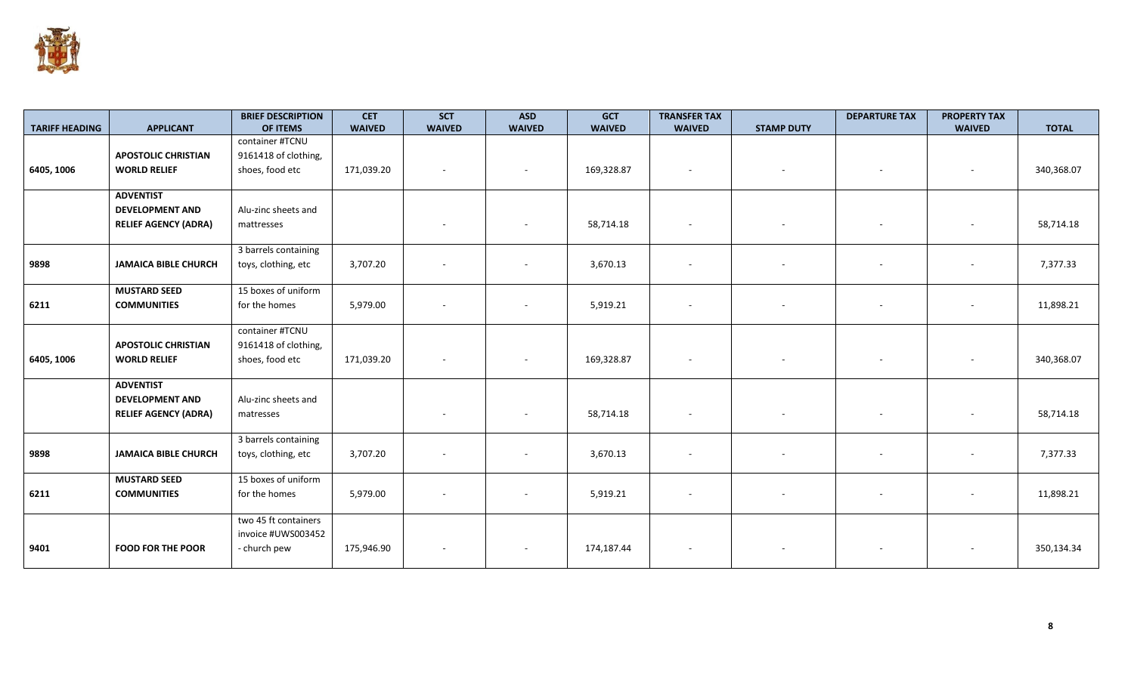

|                       |                             | <b>BRIEF DESCRIPTION</b> | <b>CET</b>    | <b>SCT</b>    | <b>ASD</b>               | <b>GCT</b>    | <b>TRANSFER TAX</b>      |                   | <b>DEPARTURE TAX</b> | <b>PROPERTY TAX</b>      |              |
|-----------------------|-----------------------------|--------------------------|---------------|---------------|--------------------------|---------------|--------------------------|-------------------|----------------------|--------------------------|--------------|
| <b>TARIFF HEADING</b> | <b>APPLICANT</b>            | OF ITEMS                 | <b>WAIVED</b> | <b>WAIVED</b> | <b>WAIVED</b>            | <b>WAIVED</b> | <b>WAIVED</b>            | <b>STAMP DUTY</b> |                      | <b>WAIVED</b>            | <b>TOTAL</b> |
|                       |                             | container #TCNU          |               |               |                          |               |                          |                   |                      |                          |              |
|                       | <b>APOSTOLIC CHRISTIAN</b>  | 9161418 of clothing,     |               |               |                          |               |                          |                   |                      |                          |              |
| 6405, 1006            | <b>WORLD RELIEF</b>         | shoes, food etc          | 171,039.20    |               |                          | 169,328.87    | $\sim$                   |                   |                      | $\sim$                   | 340,368.07   |
|                       | <b>ADVENTIST</b>            |                          |               |               |                          |               |                          |                   |                      |                          |              |
|                       | <b>DEVELOPMENT AND</b>      | Alu-zinc sheets and      |               |               |                          |               |                          |                   |                      |                          |              |
|                       |                             |                          |               |               |                          |               |                          |                   |                      |                          |              |
|                       | <b>RELIEF AGENCY (ADRA)</b> | mattresses               |               |               |                          | 58,714.18     |                          |                   |                      |                          | 58,714.18    |
|                       |                             | 3 barrels containing     |               |               |                          |               |                          |                   |                      |                          |              |
| 9898                  | <b>JAMAICA BIBLE CHURCH</b> | toys, clothing, etc      | 3,707.20      |               | $\overline{\phantom{a}}$ | 3,670.13      | $\overline{\phantom{a}}$ |                   |                      | $\sim$                   | 7,377.33     |
|                       |                             |                          |               |               |                          |               |                          |                   |                      |                          |              |
|                       | <b>MUSTARD SEED</b>         | 15 boxes of uniform      |               |               |                          |               |                          |                   |                      |                          |              |
| 6211                  | <b>COMMUNITIES</b>          | for the homes            | 5,979.00      |               |                          | 5,919.21      |                          |                   |                      | $\overline{\phantom{a}}$ | 11,898.21    |
|                       |                             |                          |               |               |                          |               |                          |                   |                      |                          |              |
|                       |                             | container #TCNU          |               |               |                          |               |                          |                   |                      |                          |              |
|                       | <b>APOSTOLIC CHRISTIAN</b>  | 9161418 of clothing,     |               |               |                          |               |                          |                   |                      |                          |              |
| 6405, 1006            | <b>WORLD RELIEF</b>         | shoes, food etc          | 171,039.20    |               | $\overline{\phantom{a}}$ | 169,328.87    |                          |                   |                      | $\overline{\phantom{a}}$ | 340,368.07   |
|                       |                             |                          |               |               |                          |               |                          |                   |                      |                          |              |
|                       | <b>ADVENTIST</b>            |                          |               |               |                          |               |                          |                   |                      |                          |              |
|                       | <b>DEVELOPMENT AND</b>      | Alu-zinc sheets and      |               |               |                          |               |                          |                   |                      |                          |              |
|                       | <b>RELIEF AGENCY (ADRA)</b> | matresses                |               |               | $\sim$                   | 58,714.18     | $\sim$                   |                   |                      | $\sim$                   | 58,714.18    |
|                       |                             |                          |               |               |                          |               |                          |                   |                      |                          |              |
|                       |                             | 3 barrels containing     |               |               |                          |               |                          |                   |                      |                          |              |
| 9898                  | <b>JAMAICA BIBLE CHURCH</b> | toys, clothing, etc      | 3,707.20      |               |                          | 3,670.13      |                          |                   |                      | $\overline{\phantom{a}}$ | 7,377.33     |
|                       |                             |                          |               |               |                          |               |                          |                   |                      |                          |              |
|                       | <b>MUSTARD SEED</b>         | 15 boxes of uniform      |               |               |                          |               |                          |                   |                      |                          |              |
| 6211                  | <b>COMMUNITIES</b>          | for the homes            | 5,979.00      |               |                          | 5,919.21      |                          |                   |                      |                          | 11,898.21    |
|                       |                             |                          |               |               |                          |               |                          |                   |                      |                          |              |
|                       |                             | two 45 ft containers     |               |               |                          |               |                          |                   |                      |                          |              |
|                       |                             | invoice #UWS003452       |               |               |                          |               |                          |                   |                      |                          |              |
| 9401                  | <b>FOOD FOR THE POOR</b>    | - church pew             | 175,946.90    |               |                          | 174,187.44    |                          |                   |                      |                          | 350,134.34   |
|                       |                             |                          |               |               |                          |               |                          |                   |                      |                          |              |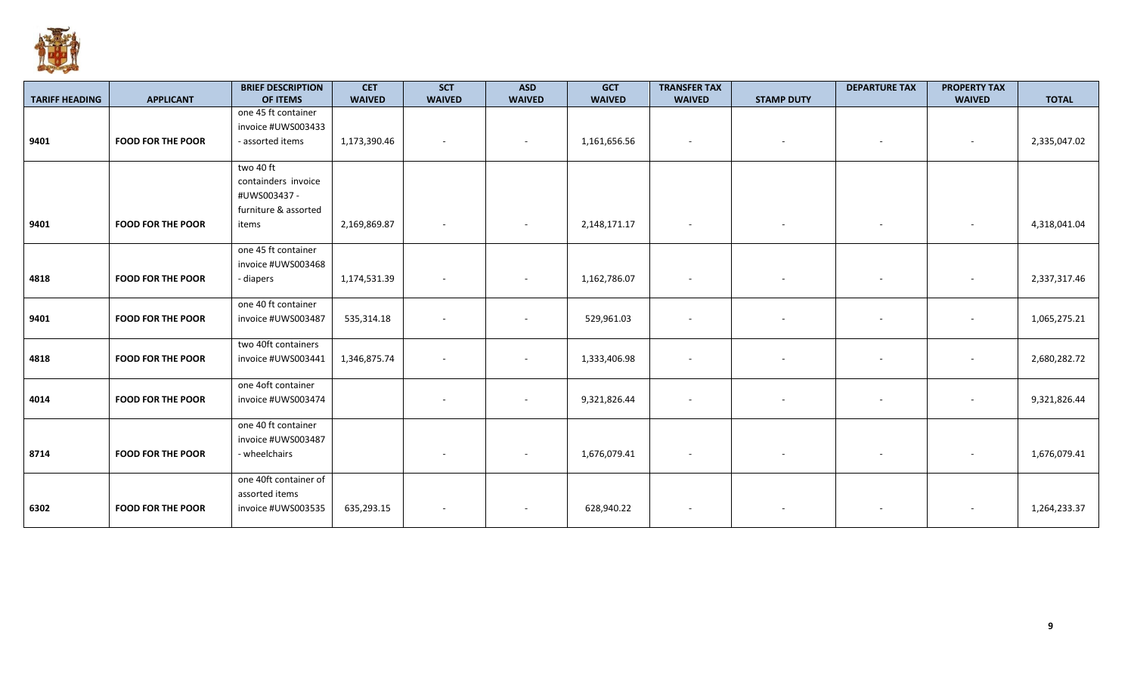

|                       |                          | <b>BRIEF DESCRIPTION</b> | <b>CET</b>    | <b>SCT</b>               | <b>ASD</b>               | <b>GCT</b>    | <b>TRANSFER TAX</b>      |                   | <b>DEPARTURE TAX</b>     | <b>PROPERTY TAX</b> |              |
|-----------------------|--------------------------|--------------------------|---------------|--------------------------|--------------------------|---------------|--------------------------|-------------------|--------------------------|---------------------|--------------|
| <b>TARIFF HEADING</b> | <b>APPLICANT</b>         | OF ITEMS                 | <b>WAIVED</b> | <b>WAIVED</b>            | <b>WAIVED</b>            | <b>WAIVED</b> | <b>WAIVED</b>            | <b>STAMP DUTY</b> |                          | <b>WAIVED</b>       | <b>TOTAL</b> |
|                       |                          | one 45 ft container      |               |                          |                          |               |                          |                   |                          |                     |              |
|                       |                          | invoice #UWS003433       |               |                          |                          |               |                          |                   |                          |                     |              |
| 9401                  | <b>FOOD FOR THE POOR</b> | - assorted items         | 1,173,390.46  |                          |                          | 1,161,656.56  |                          |                   |                          |                     | 2,335,047.02 |
|                       |                          |                          |               |                          |                          |               |                          |                   |                          |                     |              |
|                       |                          | two 40 ft                |               |                          |                          |               |                          |                   |                          |                     |              |
|                       |                          | containders invoice      |               |                          |                          |               |                          |                   |                          |                     |              |
|                       |                          | #UWS003437 -             |               |                          |                          |               |                          |                   |                          |                     |              |
|                       |                          | furniture & assorted     |               |                          |                          |               |                          |                   |                          |                     |              |
| 9401                  | <b>FOOD FOR THE POOR</b> | items                    | 2,169,869.87  | $\sim$                   | $\overline{\phantom{a}}$ | 2,148,171.17  | $\sim$                   | $\sim$            | $\overline{\phantom{a}}$ |                     | 4,318,041.04 |
|                       |                          |                          |               |                          |                          |               |                          |                   |                          |                     |              |
|                       |                          | one 45 ft container      |               |                          |                          |               |                          |                   |                          |                     |              |
|                       |                          | invoice #UWS003468       |               |                          |                          |               |                          |                   |                          |                     |              |
| 4818                  | <b>FOOD FOR THE POOR</b> | - diapers                | 1,174,531.39  |                          |                          | 1,162,786.07  | $\sim$                   |                   |                          |                     | 2,337,317.46 |
|                       |                          |                          |               |                          |                          |               |                          |                   |                          |                     |              |
|                       |                          | one 40 ft container      |               |                          |                          |               |                          |                   |                          |                     |              |
| 9401                  | <b>FOOD FOR THE POOR</b> | invoice #UWS003487       | 535,314.18    |                          |                          | 529,961.03    |                          |                   |                          |                     | 1,065,275.21 |
|                       |                          |                          |               |                          |                          |               |                          |                   |                          |                     |              |
|                       |                          | two 40ft containers      |               |                          |                          |               |                          |                   |                          |                     |              |
| 4818                  | <b>FOOD FOR THE POOR</b> | invoice #UWS003441       | 1,346,875.74  |                          |                          | 1,333,406.98  | $\sim$                   |                   |                          |                     | 2,680,282.72 |
|                       |                          |                          |               |                          |                          |               |                          |                   |                          |                     |              |
|                       |                          | one 4oft container       |               |                          |                          |               |                          |                   |                          |                     |              |
| 4014                  | <b>FOOD FOR THE POOR</b> | invoice #UWS003474       |               | $\overline{\phantom{a}}$ |                          | 9,321,826.44  | $\overline{\phantom{a}}$ | $\sim$            | $\sim$                   | $\sim$              | 9,321,826.44 |
|                       |                          |                          |               |                          |                          |               |                          |                   |                          |                     |              |
|                       |                          | one 40 ft container      |               |                          |                          |               |                          |                   |                          |                     |              |
|                       |                          | invoice #UWS003487       |               |                          |                          |               |                          |                   |                          |                     |              |
| 8714                  | <b>FOOD FOR THE POOR</b> | - wheelchairs            |               |                          |                          | 1,676,079.41  |                          |                   |                          |                     | 1,676,079.41 |
|                       |                          |                          |               |                          |                          |               |                          |                   |                          |                     |              |
|                       |                          | one 40ft container of    |               |                          |                          |               |                          |                   |                          |                     |              |
|                       |                          | assorted items           |               |                          |                          |               |                          |                   |                          |                     |              |
| 6302                  | <b>FOOD FOR THE POOR</b> | invoice #UWS003535       | 635,293.15    |                          |                          | 628,940.22    | $\overline{\phantom{a}}$ |                   |                          |                     | 1,264,233.37 |
|                       |                          |                          |               |                          |                          |               |                          |                   |                          |                     |              |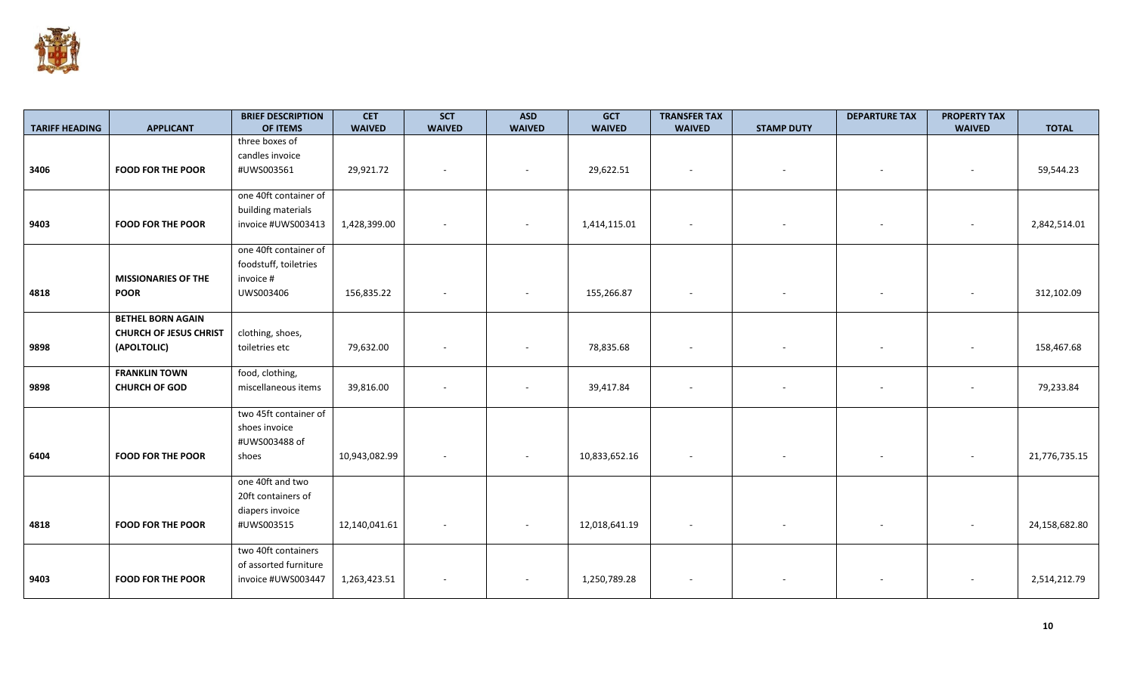

| <b>TARIFF HEADING</b> | <b>APPLICANT</b>                                          | <b>BRIEF DESCRIPTION</b><br>OF ITEMS | <b>CET</b><br><b>WAIVED</b> | <b>SCT</b><br><b>WAIVED</b> | <b>ASD</b><br><b>WAIVED</b> | <b>GCT</b><br><b>WAIVED</b> | <b>TRANSFER TAX</b><br><b>WAIVED</b> | <b>STAMP DUTY</b> | <b>DEPARTURE TAX</b> | <b>PROPERTY TAX</b><br><b>WAIVED</b> | <b>TOTAL</b>  |
|-----------------------|-----------------------------------------------------------|--------------------------------------|-----------------------------|-----------------------------|-----------------------------|-----------------------------|--------------------------------------|-------------------|----------------------|--------------------------------------|---------------|
|                       |                                                           | three boxes of                       |                             |                             |                             |                             |                                      |                   |                      |                                      |               |
|                       |                                                           | candles invoice                      |                             |                             |                             |                             |                                      |                   |                      |                                      |               |
| 3406                  | <b>FOOD FOR THE POOR</b>                                  | #UWS003561                           | 29,921.72                   |                             |                             | 29,622.51                   |                                      |                   |                      |                                      | 59,544.23     |
|                       |                                                           |                                      |                             |                             |                             |                             |                                      |                   |                      |                                      |               |
|                       |                                                           | one 40ft container of                |                             |                             |                             |                             |                                      |                   |                      |                                      |               |
|                       |                                                           | building materials                   |                             |                             |                             |                             |                                      |                   |                      |                                      |               |
| 9403                  | <b>FOOD FOR THE POOR</b>                                  | invoice #UWS003413                   | 1,428,399.00                |                             |                             | 1,414,115.01                |                                      |                   |                      |                                      | 2,842,514.01  |
|                       |                                                           | one 40ft container of                |                             |                             |                             |                             |                                      |                   |                      |                                      |               |
|                       |                                                           | foodstuff, toiletries                |                             |                             |                             |                             |                                      |                   |                      |                                      |               |
|                       | <b>MISSIONARIES OF THE</b>                                | invoice #                            |                             |                             |                             |                             |                                      |                   |                      |                                      |               |
| 4818                  | <b>POOR</b>                                               | UWS003406                            | 156,835.22                  |                             |                             | 155,266.87                  |                                      |                   |                      |                                      | 312,102.09    |
|                       |                                                           |                                      |                             |                             |                             |                             |                                      |                   |                      |                                      |               |
|                       | <b>BETHEL BORN AGAIN</b><br><b>CHURCH OF JESUS CHRIST</b> | clothing, shoes,                     |                             |                             |                             |                             |                                      |                   |                      |                                      |               |
| 9898                  | (APOLTOLIC)                                               | toiletries etc                       | 79,632.00                   |                             |                             | 78,835.68                   |                                      |                   |                      |                                      | 158,467.68    |
|                       |                                                           |                                      |                             |                             |                             |                             |                                      |                   |                      |                                      |               |
|                       | <b>FRANKLIN TOWN</b>                                      | food, clothing,                      |                             |                             |                             |                             |                                      |                   |                      |                                      |               |
| 9898                  | <b>CHURCH OF GOD</b>                                      | miscellaneous items                  | 39,816.00                   |                             |                             | 39,417.84                   |                                      |                   |                      |                                      | 79,233.84     |
|                       |                                                           |                                      |                             |                             |                             |                             |                                      |                   |                      |                                      |               |
|                       |                                                           | two 45ft container of                |                             |                             |                             |                             |                                      |                   |                      |                                      |               |
|                       |                                                           | shoes invoice<br>#UWS003488 of       |                             |                             |                             |                             |                                      |                   |                      |                                      |               |
| 6404                  | <b>FOOD FOR THE POOR</b>                                  | shoes                                | 10,943,082.99               |                             |                             | 10,833,652.16               |                                      |                   |                      |                                      | 21,776,735.15 |
|                       |                                                           |                                      |                             |                             |                             |                             |                                      |                   |                      |                                      |               |
|                       |                                                           | one 40ft and two                     |                             |                             |                             |                             |                                      |                   |                      |                                      |               |
|                       |                                                           | 20ft containers of                   |                             |                             |                             |                             |                                      |                   |                      |                                      |               |
|                       |                                                           | diapers invoice                      |                             |                             |                             |                             |                                      |                   |                      |                                      |               |
| 4818                  | <b>FOOD FOR THE POOR</b>                                  | #UWS003515                           | 12,140,041.61               |                             |                             | 12,018,641.19               |                                      |                   |                      |                                      | 24,158,682.80 |
|                       |                                                           | two 40ft containers                  |                             |                             |                             |                             |                                      |                   |                      |                                      |               |
|                       |                                                           | of assorted furniture                |                             |                             |                             |                             |                                      |                   |                      |                                      |               |
| 9403                  | <b>FOOD FOR THE POOR</b>                                  | invoice #UWS003447                   | 1,263,423.51                |                             |                             | 1,250,789.28                |                                      |                   |                      |                                      | 2,514,212.79  |
|                       |                                                           |                                      |                             |                             |                             |                             |                                      |                   |                      |                                      |               |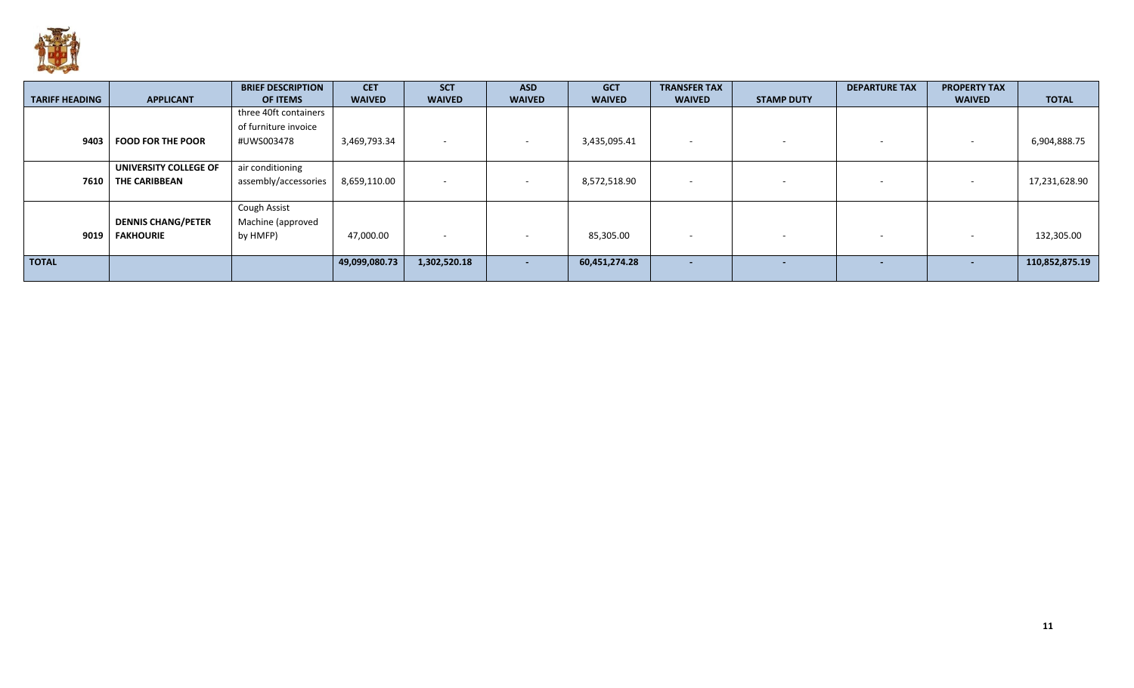

|                       |                           | <b>BRIEF DESCRIPTION</b> | <b>CET</b>    | <b>SCT</b>        | <b>ASD</b>               | <b>GCT</b>    | <b>TRANSFER TAX</b>      |                   | <b>DEPARTURE TAX</b>     | <b>PROPERTY TAX</b> |                |
|-----------------------|---------------------------|--------------------------|---------------|-------------------|--------------------------|---------------|--------------------------|-------------------|--------------------------|---------------------|----------------|
| <b>TARIFF HEADING</b> | <b>APPLICANT</b>          | OF ITEMS                 | <b>WAIVED</b> | <b>WAIVED</b>     | <b>WAIVED</b>            | <b>WAIVED</b> | <b>WAIVED</b>            | <b>STAMP DUTY</b> |                          | <b>WAIVED</b>       | <b>TOTAL</b>   |
|                       |                           | three 40ft containers    |               |                   |                          |               |                          |                   |                          |                     |                |
|                       |                           | of furniture invoice     |               |                   |                          |               |                          |                   |                          |                     |                |
| 9403                  | <b>FOOD FOR THE POOR</b>  | #UWS003478               | 3,469,793.34  | <b>CONTRACTOR</b> |                          | 3,435,095.41  | $\overline{\phantom{a}}$ |                   | $\sim$                   |                     | 6,904,888.75   |
|                       |                           |                          |               |                   |                          |               |                          |                   |                          |                     |                |
|                       | UNIVERSITY COLLEGE OF     | air conditioning         |               |                   |                          |               |                          |                   |                          |                     |                |
| 7610                  | THE CARIBBEAN             | assembly/accessories     | 8,659,110.00  | $\sim$            | $\overline{\phantom{a}}$ | 8,572,518.90  | $\overline{\phantom{0}}$ |                   | $\overline{\phantom{0}}$ |                     | 17,231,628.90  |
|                       |                           |                          |               |                   |                          |               |                          |                   |                          |                     |                |
|                       |                           | <b>Cough Assist</b>      |               |                   |                          |               |                          |                   |                          |                     |                |
|                       | <b>DENNIS CHANG/PETER</b> | Machine (approved        |               |                   |                          |               |                          |                   |                          |                     |                |
| 9019                  | <b>FAKHOURIE</b>          | by HMFP)                 | 47,000.00     |                   |                          | 85,305.00     | $\overline{\phantom{a}}$ |                   | . .                      |                     | 132,305.00     |
|                       |                           |                          |               |                   |                          |               |                          |                   |                          |                     |                |
| <b>TOTAL</b>          |                           |                          | 49,099,080.73 | 1,302,520.18      | $\overline{\phantom{0}}$ | 60,451,274.28 | $\overline{\phantom{0}}$ |                   | $\overline{\phantom{0}}$ |                     | 110,852,875.19 |
|                       |                           |                          |               |                   |                          |               |                          |                   |                          |                     |                |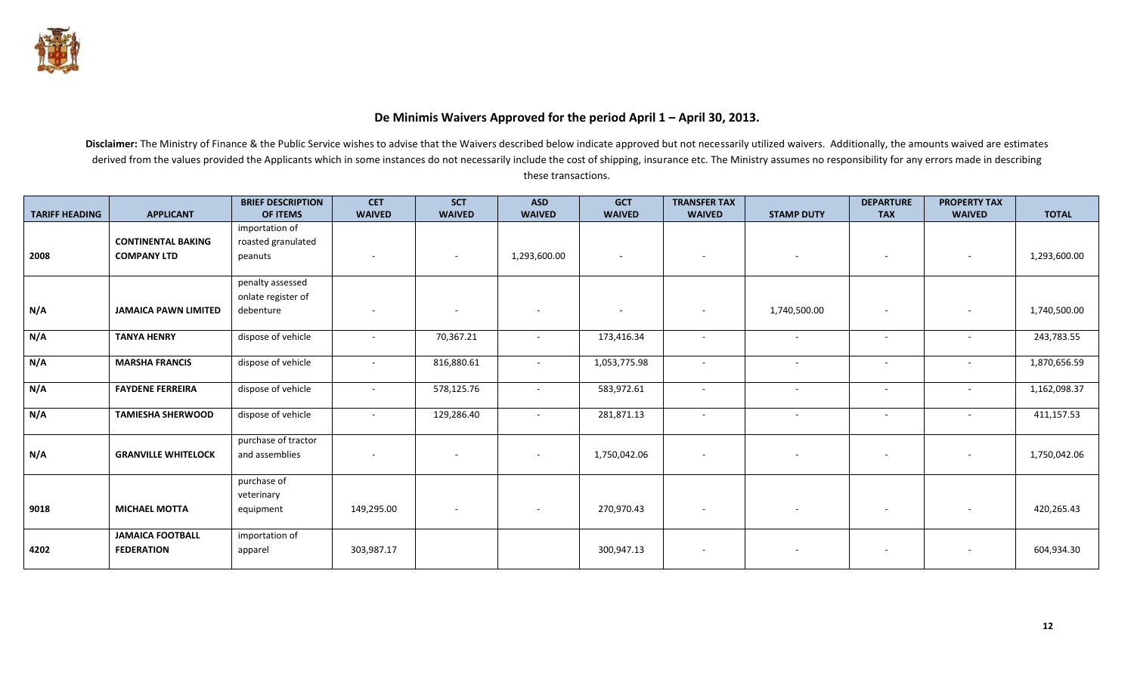

## **De Minimis Waivers Approved for the period April 1 – April 30, 2013.**

|                       |                             | <b>BRIEF DESCRIPTION</b> | <b>CET</b>               | <b>SCT</b>    | <b>ASD</b>               | <b>GCT</b>               | <b>TRANSFER TAX</b>      |                   | <b>DEPARTURE</b>         | <b>PROPERTY TAX</b> |              |
|-----------------------|-----------------------------|--------------------------|--------------------------|---------------|--------------------------|--------------------------|--------------------------|-------------------|--------------------------|---------------------|--------------|
| <b>TARIFF HEADING</b> | <b>APPLICANT</b>            | <b>OF ITEMS</b>          | <b>WAIVED</b>            | <b>WAIVED</b> | <b>WAIVED</b>            | <b>WAIVED</b>            | <b>WAIVED</b>            | <b>STAMP DUTY</b> | <b>TAX</b>               | <b>WAIVED</b>       | <b>TOTAL</b> |
|                       |                             | importation of           |                          |               |                          |                          |                          |                   |                          |                     |              |
|                       | <b>CONTINENTAL BAKING</b>   | roasted granulated       |                          |               |                          |                          |                          |                   |                          |                     |              |
| 2008                  | <b>COMPANY LTD</b>          | peanuts                  |                          | ٠             | 1,293,600.00             | $\sim$                   |                          |                   |                          |                     | 1,293,600.00 |
|                       |                             |                          |                          |               |                          |                          |                          |                   |                          |                     |              |
|                       |                             | penalty assessed         |                          |               |                          |                          |                          |                   |                          |                     |              |
|                       |                             | onlate register of       |                          |               |                          |                          |                          |                   |                          |                     |              |
| N/A                   | <b>JAMAICA PAWN LIMITED</b> | debenture                | $\overline{\phantom{a}}$ |               | $\overline{\phantom{a}}$ | $\overline{\phantom{a}}$ |                          | 1,740,500.00      |                          |                     | 1,740,500.00 |
|                       |                             |                          |                          |               |                          |                          |                          |                   |                          |                     |              |
| N/A                   | <b>TANYA HENRY</b>          | dispose of vehicle       | $\sim$                   | 70,367.21     | $\overline{\phantom{a}}$ | 173,416.34               | $\sim$                   | $\sim$            | $\overline{\phantom{a}}$ |                     | 243,783.55   |
|                       |                             |                          |                          |               |                          |                          |                          |                   |                          |                     |              |
| N/A                   | <b>MARSHA FRANCIS</b>       | dispose of vehicle       | $\sim$                   | 816,880.61    | $\sim$                   | 1,053,775.98             | $\sim$                   | $\sim$            | $\sim$                   | $\sim$              | 1,870,656.59 |
|                       |                             |                          |                          |               |                          |                          |                          |                   |                          |                     |              |
| N/A                   | <b>FAYDENE FERREIRA</b>     | dispose of vehicle       | $\sim$                   | 578,125.76    | $\sim$                   | 583,972.61               | $\overline{a}$           | $\sim$            | $\sim$                   | $\sim$              | 1,162,098.37 |
|                       |                             |                          |                          |               |                          |                          |                          |                   |                          |                     |              |
| N/A                   | <b>TAMIESHA SHERWOOD</b>    | dispose of vehicle       |                          | 129,286.40    | $\sim$                   | 281,871.13               | $\sim$                   | $\sim$            |                          |                     | 411,157.53   |
|                       |                             |                          |                          |               |                          |                          |                          |                   |                          |                     |              |
|                       |                             | purchase of tractor      |                          |               |                          |                          |                          |                   |                          |                     |              |
| N/A                   | <b>GRANVILLE WHITELOCK</b>  | and assemblies           |                          |               | $\sim$                   | 1,750,042.06             | $\overline{\phantom{a}}$ |                   | $\overline{\phantom{a}}$ | $\sim$              | 1,750,042.06 |
|                       |                             |                          |                          |               |                          |                          |                          |                   |                          |                     |              |
|                       |                             | purchase of              |                          |               |                          |                          |                          |                   |                          |                     |              |
|                       |                             | veterinary               |                          |               |                          |                          |                          |                   |                          |                     |              |
| 9018                  | <b>MICHAEL MOTTA</b>        | equipment                | 149,295.00               |               |                          | 270,970.43               |                          |                   |                          |                     | 420,265.43   |
|                       |                             |                          |                          |               |                          |                          |                          |                   |                          |                     |              |
|                       | <b>JAMAICA FOOTBALL</b>     | importation of           |                          |               |                          |                          |                          |                   |                          |                     |              |
| 4202                  | <b>FEDERATION</b>           | apparel                  | 303,987.17               |               |                          | 300,947.13               |                          |                   |                          |                     | 604,934.30   |
|                       |                             |                          |                          |               |                          |                          |                          |                   |                          |                     |              |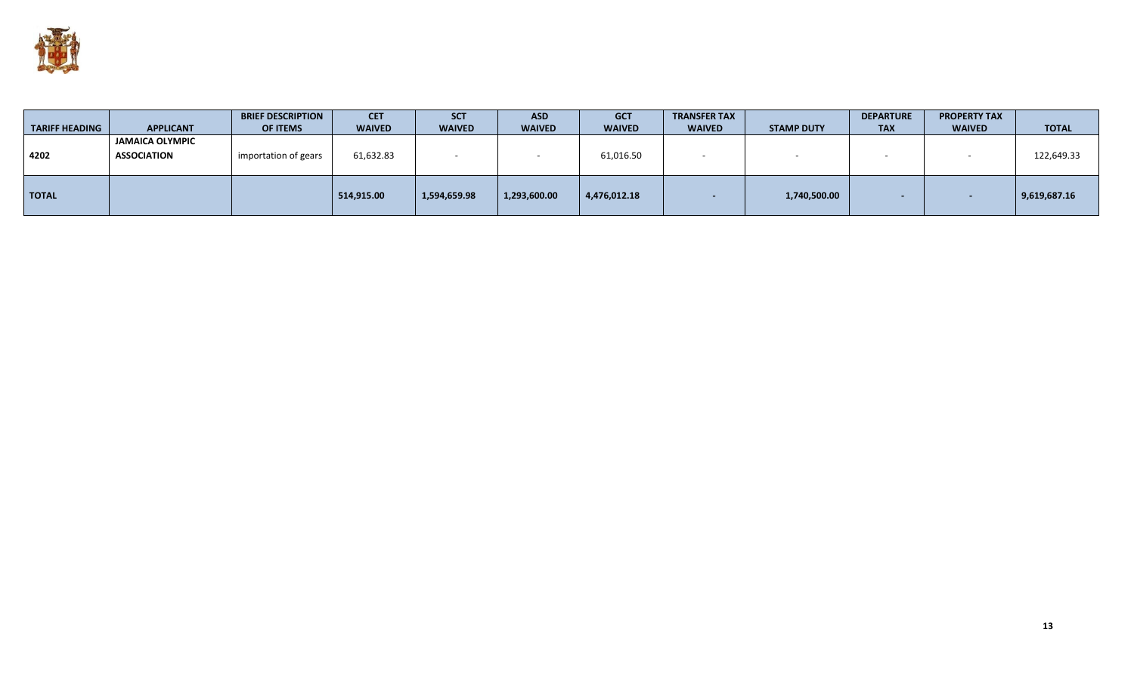

| <b>TARIFF HEADING</b> | <b>APPLICANT</b>                             | <b>BRIEF DESCRIPTION</b><br><b>OF ITEMS</b> | <b>CET</b><br><b>WAIVED</b> | <b>SCT</b><br><b>WAIVED</b> | <b>ASD</b><br><b>WAIVED</b> | <b>GCT</b><br><b>WAIVED</b> | <b>TRANSFER TAX</b><br><b>WAIVED</b> | <b>STAMP DUTY</b> | <b>DEPARTURE</b><br><b>TAX</b> | <b>PROPERTY TAX</b><br><b>WAIVED</b> | <b>TOTAL</b> |
|-----------------------|----------------------------------------------|---------------------------------------------|-----------------------------|-----------------------------|-----------------------------|-----------------------------|--------------------------------------|-------------------|--------------------------------|--------------------------------------|--------------|
| 4202                  | <b>JAMAICA OLYMPIC</b><br><b>ASSOCIATION</b> | importation of gears                        | 61,632.83                   |                             |                             | 61,016.50                   |                                      |                   |                                |                                      | 122,649.33   |
| <b>TOTAL</b>          |                                              |                                             | 514,915.00                  | 1,594,659.98                | 1,293,600.00                | 4,476,012.18                |                                      | 1,740,500.00      |                                |                                      | 9,619,687.16 |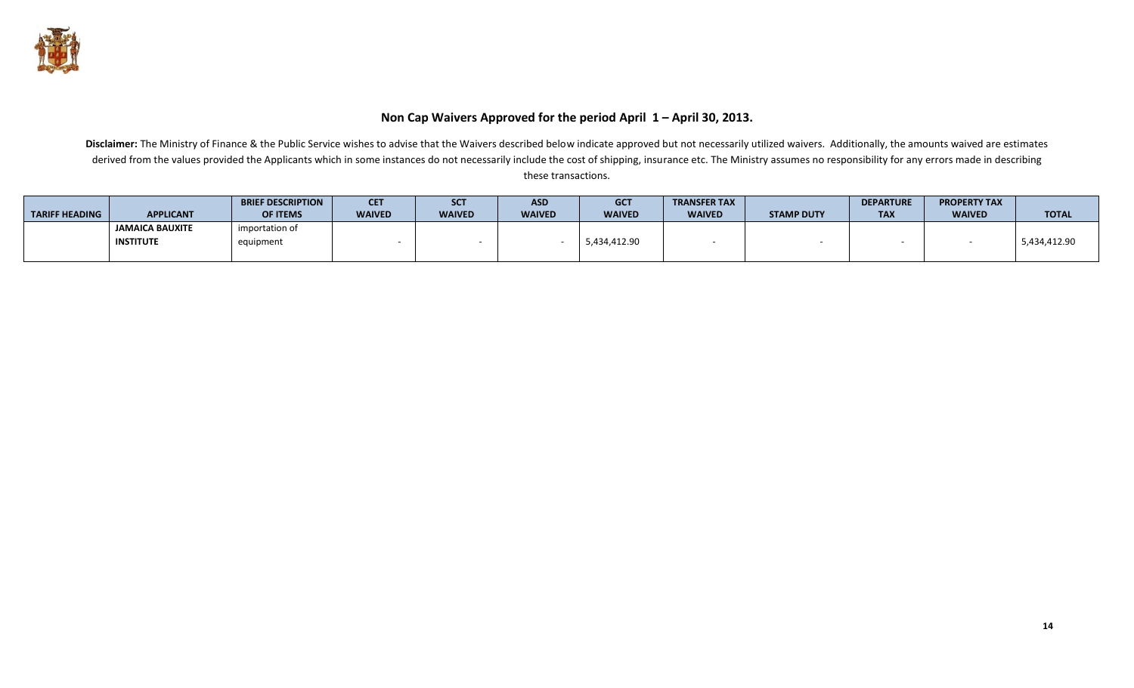

## **Non Cap Waivers Approved for the period April 1 – April 30, 2013.**

|                       |                        | <b>BRIEF DESCRIPTION</b> | <b>CET</b>    | <b>SCT</b>    | <b>ASD</b>    | <b>GCT</b>    | <b>TRANSFER TAX</b> |                   | <b>DEPARTURE</b>     | <b>PROPERTY TAX</b> |              |
|-----------------------|------------------------|--------------------------|---------------|---------------|---------------|---------------|---------------------|-------------------|----------------------|---------------------|--------------|
| <b>TARIFF HEADING</b> | <b>APPLICANT</b>       | <b>OF ITEMS</b>          | <b>WAIVED</b> | <b>WAIVED</b> | <b>WAIVED</b> | <b>WAIVED</b> | <b>WAIVED</b>       | <b>STAMP DUTY</b> | <b>TAY</b><br>$\sim$ | <b>WAIVED</b>       | <b>TOTAL</b> |
|                       | <b>JAMAICA BAUXITE</b> | importation of           |               |               |               |               |                     |                   |                      |                     |              |
|                       | INSTITUTE              | equipment                |               |               |               | 5,434,412.90  |                     |                   |                      |                     | 5,434,412.90 |
|                       |                        |                          |               |               |               |               |                     |                   |                      |                     |              |